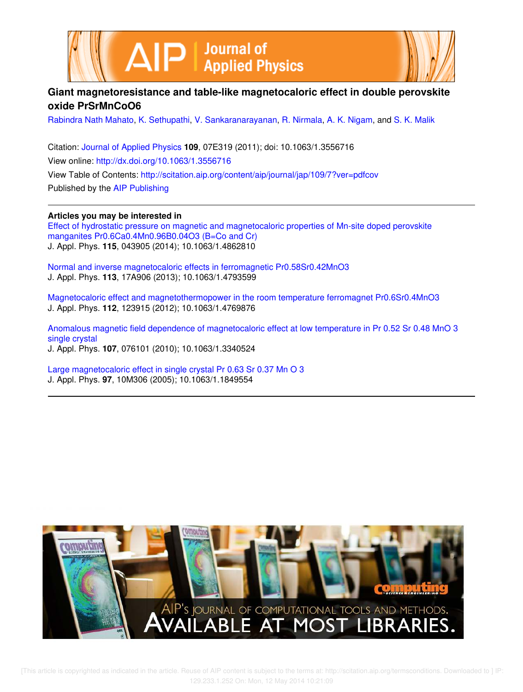



# **Giant magnetoresistance and table-like magnetocaloric effect in double perovskite oxide PrSrMnCoO6**

Rabindra Nath Mahato, K. Sethupathi, V. Sankaranarayanan, R. Nirmala, A. K. Nigam, and S. K. Malik

Citation: Journal of Applied Physics **109**, 07E319 (2011); doi: 10.1063/1.3556716 View online: http://dx.doi.org/10.1063/1.3556716 View Table of Contents: http://scitation.aip.org/content/aip/journal/jap/109/7?ver=pdfcov Published by the AIP Publishing

**Articles you may be interested in**

Effect of hydrostatic pressure on magnetic and magnetocaloric properties of Mn-site doped perovskite manganites Pr0.6Ca0.4Mn0.96B0.04O3 (B=Co and Cr) J. Appl. Phys. **115**, 043905 (2014); 10.1063/1.4862810

Normal and inverse magnetocaloric effects in ferromagnetic Pr0.58Sr0.42MnO3 J. Appl. Phys. **113**, 17A906 (2013); 10.1063/1.4793599

Magnetocaloric effect and magnetothermopower in the room temperature ferromagnet Pr0.6Sr0.4MnO3 J. Appl. Phys. **112**, 123915 (2012); 10.1063/1.4769876

Anomalous magnetic field dependence of magnetocaloric effect at low temperature in Pr 0.52 Sr 0.48 MnO 3 single crystal J. Appl. Phys. **107**, 076101 (2010); 10.1063/1.3340524

Large magnetocaloric effect in single crystal Pr 0.63 Sr 0.37 Mn O 3 J. Appl. Phys. **97**, 10M306 (2005); 10.1063/1.1849554



 [This article is copyrighted as indicated in the article. Reuse of AIP content is subject to the terms at: http://scitation.aip.org/termsconditions. Downloaded to ] IP: 129.233.1.252 On: Mon, 12 May 2014 10:21:09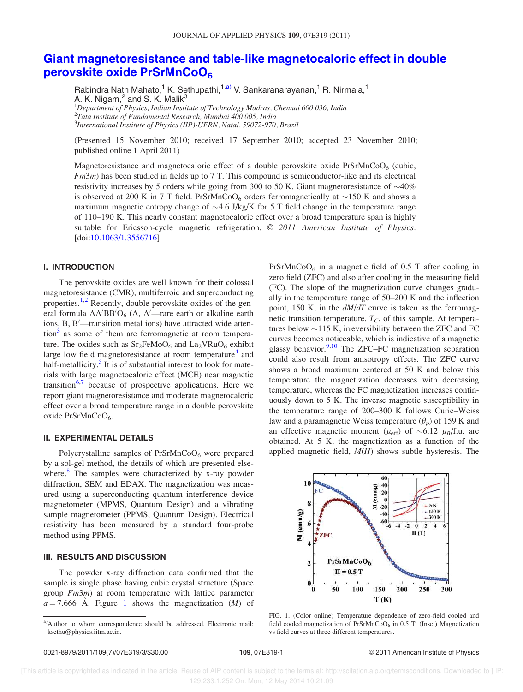# Giant magnetoresistance and table-like magnetocaloric effect in double perovskite oxide PrSrMnCoO6

Rabindra Nath Mahato,<sup>1</sup> K. Sethupathi,<sup>1,a)</sup> V. Sankaranarayanan,<sup>1</sup> R. Nirmala,<sup>1</sup> A. K. Nigam, $^2$  and S. K. Malik $^3$ <sup>1</sup>Department of Physics, Indian Institute of Technology Madras, Chennai 600 036, India  $^2$ Tata Institute of Fundamental Research, Mumbai 400 005, India

<sup>3</sup>International Institute of Physics (IIP)-UFRN, Natal, 59072-970, Brazil

(Presented 15 November 2010; received 17 September 2010; accepted 23 November 2010; published online 1 April 2011)

Magnetoresistance and magnetocaloric effect of a double perovskite oxide  $PrSrMnCoO<sub>6</sub>$  (cubic,  $Fm\overline{3}m$ ) has been studied in fields up to 7 T. This compound is semiconductor-like and its electrical resistivity increases by 5 orders while going from 300 to 50 K. Giant magnetoresistance of  $\sim$ 40% is observed at 200 K in 7 T field. PrSrMnCoO<sub>6</sub> orders ferromagnetically at  ${\sim}150$  K and shows a maximum magnetic entropy change of  $\sim$  4.6 J/kg/K for 5 T field change in the temperature range of 110–190 K. This nearly constant magnetocaloric effect over a broad temperature span is highly suitable for Ericsson-cycle magnetic refrigeration.  $\odot$  2011 American Institute of Physics. [doi:10.1063/1.3556716]

## I. INTRODUCTION

The perovskite oxides are well known for their colossal magnetoresistance (CMR), multiferroic and superconducting properties.<sup>1,2</sup> Recently, double perovskite oxides of the general formula  $AA'BB'O_6$  (A,  $A'$ —rare earth or alkaline earth ions, B, B'-transition metal ions) have attracted wide attention<sup>3</sup> as some of them are ferromagnetic at room temperature. The oxides such as  $Sr_2FeMoO_6$  and  $La_2VRuO_6$  exhibit large low field magnetoresistance at room temperature<sup>4</sup> and half-metallicity.<sup>5</sup> It is of substantial interest to look for materials with large magnetocaloric effect (MCE) near magnetic transition<sup>6,7</sup> because of prospective applications. Here we report giant magnetoresistance and moderate magnetocaloric effect over a broad temperature range in a double perovskite oxide PrSrMnCoO<sub>6</sub>.

# II. EXPERIMENTAL DETAILS

Polycrystalline samples of  $PrSrMnCoO<sub>6</sub>$  were prepared by a sol-gel method, the details of which are presented elsewhere.<sup>8</sup> The samples were characterized by x-ray powder diffraction, SEM and EDAX. The magnetization was measured using a superconducting quantum interference device magnetometer (MPMS, Quantum Design) and a vibrating sample magnetometer (PPMS, Quantum Design). Electrical resistivity has been measured by a standard four-probe method using PPMS.

#### III. RESULTS AND DISCUSSION

The powder x-ray diffraction data confirmed that the sample is single phase having cubic crystal structure (Space group  $Fm\overline{3}m$ ) at room temperature with lattice parameter  $a = 7.666$  Å. Figure 1 shows the magnetization (*M*) of

 $PrSrMnCoO<sub>6</sub>$  in a magnetic field of 0.5 T after cooling in zero field (ZFC) and also after cooling in the measuring field (FC). The slope of the magnetization curve changes gradually in the temperature range of 50–200 K and the inflection point, 150 K, in the  $dM/dT$  curve is taken as the ferromagnetic transition temperature,  $T_C$ , of this sample. At temperatures below  $\sim$ 115 K, irreversibility between the ZFC and FC curves becomes noticeable, which is indicative of a magnetic glassy behavior. $9,10$  The ZFC–FC magnetization separation could also result from anisotropy effects. The ZFC curve shows a broad maximum centered at 50 K and below this temperature the magnetization decreases with decreasing temperature, whereas the FC magnetization increases continuously down to 5 K. The inverse magnetic susceptibility in the temperature range of 200–300 K follows Curie–Weiss law and a paramagnetic Weiss temperature  $(\theta_p)$  of 159 K and an effective magnetic moment ( $\mu_{eff}$ ) of  $\sim 6.12 \mu_B/f.u.$  are obtained. At 5 K, the magnetization as a function of the applied magnetic field,  $M(H)$  shows subtle hysteresis. The



FIG. 1. (Color online) Temperature dependence of zero-field cooled and field cooled magnetization of PrSrMnCoO $_6$  in 0.5 T. (Inset) Magnetization vs field curves at three different temperatures.

a)Author to whom correspondence should be addressed. Electronic mail: ksethu@physics.iitm.ac.in.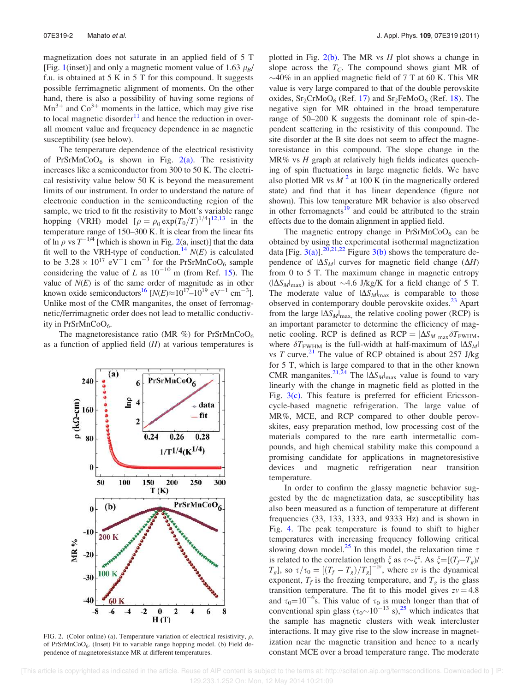magnetization does not saturate in an applied field of 5 T [Fig. 1(inset)] and only a magnetic moment value of 1.63  $\mu_B$ / f.u. is obtained at 5 K in 5 T for this compound. It suggests possible ferrimagnetic alignment of moments. On the other hand, there is also a possibility of having some regions of  $Mn^{3+}$  and  $Co^{3+}$  moments in the lattice, which may give rise to local magnetic disorder<sup>11</sup> and hence the reduction in overall moment value and frequency dependence in ac magnetic susceptibility (see below).

The temperature dependence of the electrical resistivity of PrSrMnCoO<sub>6</sub> is shown in Fig.  $2(a)$ . The resistivity increases like a semiconductor from 300 to 50 K. The electrical resistivity value below 50 K is beyond the measurement limits of our instrument. In order to understand the nature of electronic conduction in the semiconducting region of the sample, we tried to fit the resistivity to Mott's variable range hopping (VRH) model  $[\rho = \rho_0 \exp(T_0/T)^{1/4}]^{12,13}$  in the temperature range of 150–300 K. It is clear from the linear fits of  $\ln \rho$  vs  $T^{-1/4}$  [which is shown in Fig. 2(a, inset)] that the data fit well to the VRH-type of conduction.<sup>14</sup>  $N(E)$  is calculated to be  $3.28 \times 10^{17}$  eV<sup>-1</sup> cm<sup>-3</sup> for the PrSrMnCoO<sub>6</sub> sample considering the value of L as  $10^{-10}$  m (from Ref. 15). The value of  $N(E)$  is of the same order of magnitude as in other known oxide semiconductors<sup>16</sup> [ $N(E) \approx 10^{17} - 10^{19}$  eV<sup>-1</sup> cm<sup>-3</sup>]. Unlike most of the CMR manganites, the onset of ferromagnetic/ferrimagnetic order does not lead to metallic conductivity in  $PrSrMnCoO<sub>6</sub>$ .

The magnetoresistance ratio (MR  $\%$ ) for PrSrMnCoO<sub>6</sub> as a function of applied field  $(H)$  at various temperatures is



FIG. 2. (Color online) (a). Temperature variation of electrical resistivity,  $\rho$ , of PrSrMnCoO<sub>6</sub>. (Inset) Fit to variable range hopping model. (b) Field dependence of magnetoresistance MR at different temperatures.

plotted in Fig.  $2(b)$ . The MR vs H plot shows a change in slope across the  $T_c$ . The compound shows giant MR of  $\sim$ 40% in an applied magnetic field of 7 T at 60 K. This MR value is very large compared to that of the double perovskite oxides,  $Sr_2CrMoO_6$  (Ref. 17) and  $Sr_2FeMoO_6$  (Ref. 18). The negative sign for MR obtained in the broad temperature range of 50–200 K suggests the dominant role of spin-dependent scattering in the resistivity of this compound. The site disorder at the B site does not seem to affect the magnetoresistance in this compound. The slope change in the  $MR\%$  vs  $H$  graph at relatively high fields indicates quenching of spin fluctuations in large magnetic fields. We have also plotted MR vs  $M^2$  at 100 K (in the magnetically ordered state) and find that it has linear dependence (figure not shown). This low temperature MR behavior is also observed in other ferromagnets<sup>19</sup> and could be attributed to the strain effects due to the domain alignment in applied field.

The magnetic entropy change in  $PrSrMnCoO<sub>6</sub>$  can be obtained by using the experimental isothermal magnetization data [Fig. 3(a)].<sup>20,21,22</sup> Figure 3(b) shows the temperature dependence of  $|\Delta S_M|$  curves for magnetic field change  $(\Delta H)$ from 0 to 5 T. The maximum change in magnetic entropy  $(|\Delta S_M|_{\text{max}})$  is about ~4.6 J/kg/K for a field change of 5 T. The moderate value of  $|\Delta S_M|_{\text{max}}$  is comparable to those observed in contemporary double perovskite oxides.<sup>23</sup> Apart from the large  $|\Delta S_M|_{\text{max}}$ , the relative cooling power (RCP) is an important parameter to determine the efficiency of magnetic cooling. RCP is defined as  $RCP = |\Delta S_M|_{\text{max}} \delta T_{\text{FWHM}}$ , where  $\delta T_{\text{FWHM}}$  is the full-width at half-maximum of  $|\Delta S_M|$ vs T curve.<sup>21</sup> The value of RCP obtained is about 257 J/kg for 5 T, which is large compared to that in the other known CMR manganites.<sup>21,24</sup> The  $|\Delta S_M|_{\text{max}}$  value is found to vary linearly with the change in magnetic field as plotted in the Fig.  $3(c)$ . This feature is preferred for efficient Ericssoncycle-based magnetic refrigeration. The large value of MR%, MCE, and RCP compared to other double perovskites, easy preparation method, low processing cost of the materials compared to the rare earth intermetallic compounds, and high chemical stability make this compound a promising candidate for applications in magnetoresistive devices and magnetic refrigeration near transition temperature.

In order to confirm the glassy magnetic behavior suggested by the dc magnetization data, ac susceptibility has also been measured as a function of temperature at different frequencies (33, 133, 1333, and 9333 Hz) and is shown in Fig. 4. The peak temperature is found to shift to higher temperatures with increasing frequency following critical slowing down model.<sup>25</sup> In this model, the relaxation time  $\tau$ is related to the correlation length  $\xi$  as  $\tau \sim \xi^2$ . As  $\xi = [(T_f - T_g)/\xi]$  $T_g$ ], so  $\tau/\tau_0 = [(T_f - T_g)/T_g]^{-zv}$ , where zv is the dynamical exponent,  $T_f$  is the freezing temperature, and  $T_g$  is the glass transition temperature. The fit to this model gives  $zv = 4.8$ and  $\tau_0 = 10^{-6}$ s. This value of  $\tau_0$  is much longer than that of conventional spin glass  $(\tau_0 \sim 10^{-13} \text{ s})$ ,<sup>25</sup> which indicates that the sample has magnetic clusters with weak intercluster interactions. It may give rise to the slow increase in magnetization near the magnetic transition and hence to a nearly constant MCE over a broad temperature range. The moderate